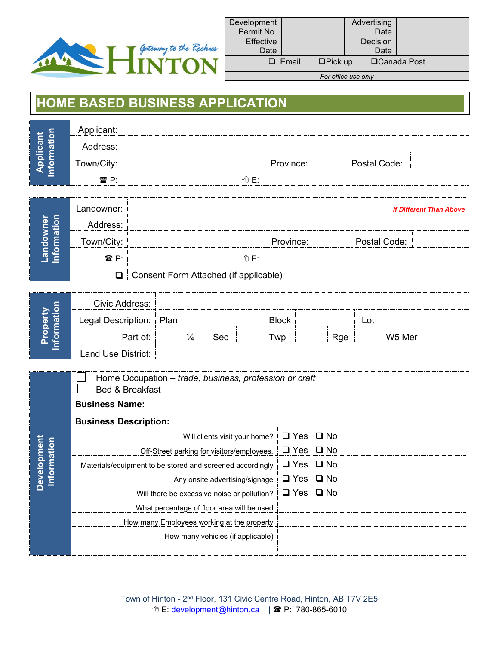

**Development**

**Development** 

| Development<br>Permit No. |              |                | Advertising<br>Date |                     |
|---------------------------|--------------|----------------|---------------------|---------------------|
| Effective<br>Date         |              |                | Decision<br>Date    |                     |
|                           | $\Box$ Email | $\Box$ Pick up |                     | <b>□Canada Post</b> |
|                           |              |                | For office use only |                     |

## **HOME BASED BUSINESS APPLICATION**

| $\circ$ | Applicant:     |               |           |              |  |
|---------|----------------|---------------|-----------|--------------|--|
| w<br>w  | Address:       |               |           |              |  |
|         | Town/City:     |               | Province: | Postal Code: |  |
|         | $\mathbf{P}$ P | <b>√A ⊏</b> ∙ |           |              |  |

|   | Landowner:  |                                              |       |           |              | <b>If Different Than Above</b> |
|---|-------------|----------------------------------------------|-------|-----------|--------------|--------------------------------|
|   |             |                                              |       |           |              |                                |
| б | Town/City:  |                                              |       | Province: | Postal Code: |                                |
|   | <b>æ</b> P∙ |                                              | ∽A F∙ |           |              |                                |
|   |             | $\Box$ Consent Form Attached (if applicable) |       |           |              |                                |

|                           | Civic Address:     |      |     |       |     |     |        |
|---------------------------|--------------------|------|-----|-------|-----|-----|--------|
| erty<br>latio<br>$\Omega$ | Legal Description: | Plan |     | Block |     | -ot |        |
| c<br>ட                    | -art ot:           |      | Sec | wp    | Rge |     | W5 Mer |
| ≐                         | Land Use District: |      |     |       |     |     |        |

|                    | Home Occupation - trade, business, profession or craft<br>Bed & Breakfast |                      |  |
|--------------------|---------------------------------------------------------------------------|----------------------|--|
|                    | <b>Business Name:</b>                                                     |                      |  |
|                    | <b>Business Description:</b>                                              |                      |  |
|                    | Will clients visit your home? $\Box$ Yes $\Box$ No                        |                      |  |
| <b>Information</b> | Off-Street parking for visitors/employees.                                | I Q Yes Q No         |  |
|                    | Materials/equipment to be stored and screened accordingly                 | $\Box$ Yes $\Box$ No |  |
|                    | Any onsite advertising/signage $\Box$ Yes $\Box$ No                       |                      |  |
|                    | Will there be excessive noise or pollution? $\Box$ Yes $\Box$ No          |                      |  |
|                    | What percentage of floor area will be used                                |                      |  |
|                    | How many Employees working at the property                                |                      |  |
|                    | How many vehicles (if applicable)                                         |                      |  |
|                    |                                                                           |                      |  |